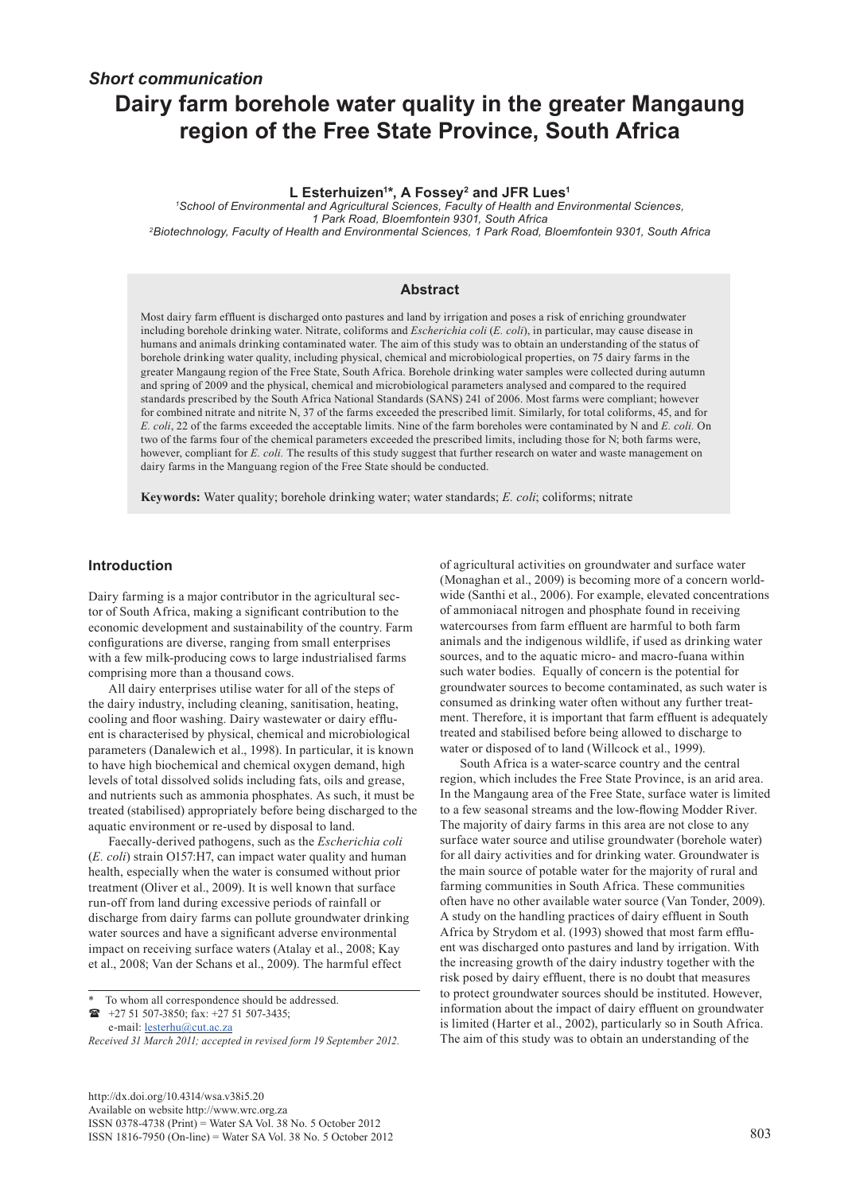# *Short communication* **Dairy farm borehole water quality in the greater Mangaung region of the Free State Province, South Africa**

#### **L Esterhuizen1 \*, A Fossey2 and JFR Lues1**

*1 School of Environmental and Agricultural Sciences, Faculty of Health and Environmental Sciences, 1 Park Road, Bloemfontein 9301, South Africa 2Biotechnology, Faculty of Health and Environmental Sciences, 1 Park Road, Bloemfontein 9301, South Africa*

#### **Abstract**

Most dairy farm effluent is discharged onto pastures and land by irrigation and poses a risk of enriching groundwater including borehole drinking water. Nitrate, coliforms and *Escherichia coli* (*E. coli*), in particular, may cause disease in humans and animals drinking contaminated water. The aim of this study was to obtain an understanding of the status of borehole drinking water quality, including physical, chemical and microbiological properties, on 75 dairy farms in the greater Mangaung region of the Free State, South Africa. Borehole drinking water samples were collected during autumn and spring of 2009 and the physical, chemical and microbiological parameters analysed and compared to the required standards prescribed by the South Africa National Standards (SANS) 241 of 2006. Most farms were compliant; however for combined nitrate and nitrite N, 37 of the farms exceeded the prescribed limit. Similarly, for total coliforms, 45, and for *E. coli*, 22 of the farms exceeded the acceptable limits. Nine of the farm boreholes were contaminated by N and *E. coli.* On two of the farms four of the chemical parameters exceeded the prescribed limits, including those for N; both farms were, however, compliant for *E. coli.* The results of this study suggest that further research on water and waste management on dairy farms in the Manguang region of the Free State should be conducted.

**Keywords:** Water quality; borehole drinking water; water standards; *E. coli*; coliforms; nitrate

## **Introduction**

Dairy farming is a major contributor in the agricultural sector of South Africa, making a significant contribution to the economic development and sustainability of the country. Farm configurations are diverse, ranging from small enterprises with a few milk-producing cows to large industrialised farms comprising more than a thousand cows.

All dairy enterprises utilise water for all of the steps of the dairy industry, including cleaning, sanitisation, heating, cooling and floor washing. Dairy wastewater or dairy effluent is characterised by physical, chemical and microbiological parameters (Danalewich et al., 1998). In particular, it is known to have high biochemical and chemical oxygen demand, high levels of total dissolved solids including fats, oils and grease, and nutrients such as ammonia phosphates. As such, it must be treated (stabilised) appropriately before being discharged to the aquatic environment or re-used by disposal to land.

Faecally-derived pathogens, such as the *Escherichia coli* (*E. coli*) strain O157:H7, can impact water quality and human health, especially when the water is consumed without prior treatment (Oliver et al., 2009). It is well known that surface run-off from land during excessive periods of rainfall or discharge from dairy farms can pollute groundwater drinking water sources and have a significant adverse environmental impact on receiving surface waters (Atalay et al., 2008; Kay et al., 2008; Van der Schans et al., 2009). The harmful effect

 +27 51 507-3850; fax: +27 51 507-3435; e-mail: **[lesterhu@cut.ac.za](mailto:lesterhu@cut.ac.za)** 

[http://dx.doi.org/10.4314/wsa.v38i5.20](http://dx.doi.org/10.4314/wsa.v37i4.18) Available on website http://www.wrc.org.za ISSN 0378-4738 (Print) = Water SA Vol. 38 No. 5 October 2012 ISSN 1816-7950 (On-line) = Water SA Vol. 38 No. 5 October 2012 803

of agricultural activities on groundwater and surface water (Monaghan et al., 2009) is becoming more of a concern worldwide (Santhi et al., 2006). For example, elevated concentrations of ammoniacal nitrogen and phosphate found in receiving watercourses from farm effluent are harmful to both farm animals and the indigenous wildlife, if used as drinking water sources, and to the aquatic micro- and macro-fuana within such water bodies. Equally of concern is the potential for groundwater sources to become contaminated, as such water is consumed as drinking water often without any further treatment. Therefore, it is important that farm effluent is adequately treated and stabilised before being allowed to discharge to water or disposed of to land (Willcock et al., 1999).

South Africa is a water-scarce country and the central region, which includes the Free State Province, is an arid area. In the Mangaung area of the Free State, surface water is limited to a few seasonal streams and the low-flowing Modder River. The majority of dairy farms in this area are not close to any surface water source and utilise groundwater (borehole water) for all dairy activities and for drinking water. Groundwater is the main source of potable water for the majority of rural and farming communities in South Africa. These communities often have no other available water source (Van Tonder, 2009). A study on the handling practices of dairy effluent in South Africa by Strydom et al. (1993) showed that most farm effluent was discharged onto pastures and land by irrigation. With the increasing growth of the dairy industry together with the risk posed by dairy effluent, there is no doubt that measures to protect groundwater sources should be instituted. However, information about the impact of dairy effluent on groundwater is limited (Harter et al., 2002), particularly so in South Africa. The aim of this study was to obtain an understanding of the

To whom all correspondence should be addressed.

*Received 31 March 2011; accepted in revised form 19 September 2012.*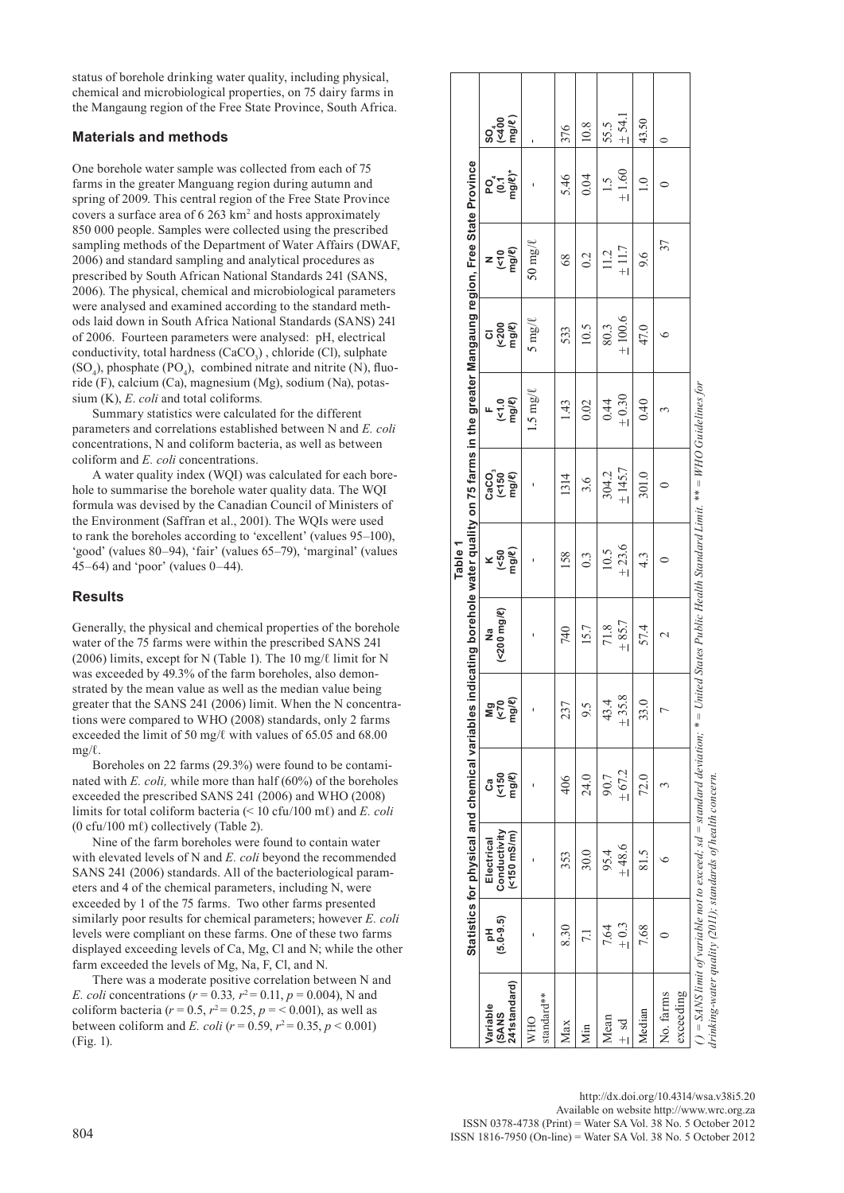status of borehole drinking water quality, including physical, chemical and microbiological properties, on 75 dairy farms in the Mangaung region of the Free State Province, South Africa.

## **Materials and methods**

One borehole water sample was collected from each of 75 farms in the greater Manguang region during autumn and spring of 2009. This central region of the Free State Province covers a surface area of  $6263 \text{ km}^2$  and hosts approximately 850 000 people. Samples were collected using the prescribed sampling methods of the Department of Water Affairs (DWAF, 2006) and standard sampling and analytical procedures as prescribed by South African National Standards 241 (SANS, 2006). The physical, chemical and microbiological parameters were analysed and examined according to the standard methods laid down in South Africa National Standards (SANS) 241 of 2006. Fourteen parameters were analysed: pH, electrical conductivity, total hardness  $(CaCO<sub>3</sub>)$ , chloride (Cl), sulphate  $(SO_4)$ , phosphate (PO<sub>4</sub>), combined nitrate and nitrite (N), fluoride (F), calcium (Ca), magnesium (Mg), sodium (Na), potassium (K), *E*. *coli* and total coliforms*.* 

Summary statistics were calculated for the different parameters and correlations established between N and *E. coli*  concentrations, N and coliform bacteria, as well as between coliform and *E. coli* concentrations.

A water quality index (WQI) was calculated for each borehole to summarise the borehole water quality data. The WQI formula was devised by the Canadian Council of Ministers of the Environment (Saffran et al., 2001). The WQIs were used to rank the boreholes according to 'excellent' (values 95–100), 'good' (values 80–94), 'fair' (values 65–79), 'marginal' (values 45–64) and 'poor' (values 0–44).

## **Results**

Generally, the physical and chemical properties of the borehole water of the 75 farms were within the prescribed SANS 241 (2006) limits, except for N (Table 1). The 10 mg/ℓ limit for N was exceeded by 49.3% of the farm boreholes, also demonstrated by the mean value as well as the median value being greater that the SANS 241 (2006) limit. When the N concentrations were compared to WHO (2008) standards, only 2 farms exceeded the limit of 50 mg/ℓ with values of 65.05 and 68.00  $mp/l$ .

Boreholes on 22 farms (29.3%) were found to be contaminated with *E. coli,* while more than half (60%) of the boreholes exceeded the prescribed SANS 241 (2006) and WHO (2008) limits for total coliform bacteria (< 10 cfu/100 mℓ) and *E. coli* (0 cfu/100 mℓ) collectively (Table 2).

Nine of the farm boreholes were found to contain water with elevated levels of N and *E. coli* beyond the recommended SANS 241 (2006) standards. All of the bacteriological parameters and 4 of the chemical parameters, including N, were exceeded by 1 of the 75 farms. Two other farms presented similarly poor results for chemical parameters; however *E. coli*  levels were compliant on these farms. One of these two farms displayed exceeding levels of Ca, Mg, Cl and N; while the other farm exceeded the levels of Mg, Na, F, Cl, and N.

There was a moderate positive correlation between N and *E. coli* concentrations ( $r = 0.33$ ,  $r^2 = 0.11$ ,  $p = 0.004$ ), N and coliform bacteria ( $r = 0.5$ ,  $r^2 = 0.25$ ,  $p = 0.001$ ), as well as between coliform and *E. coli* ( $r = 0.59$ ,  $r^2 = 0.35$ ,  $p < 0.001$ ) (Fig. 1).

|                                    |                    | Statistics for physical and chemical variables                                                                                                                                                              |                             |                               | indicating borehole water quality on 75 farms in the greater Mangaung region, Free State Province | Table <sub>1</sub> |                           |                       |                             |                                    |                             |                                                 |
|------------------------------------|--------------------|-------------------------------------------------------------------------------------------------------------------------------------------------------------------------------------------------------------|-----------------------------|-------------------------------|---------------------------------------------------------------------------------------------------|--------------------|---------------------------|-----------------------|-----------------------------|------------------------------------|-----------------------------|-------------------------------------------------|
| 241standard)<br>Variable<br>(SANS) | $(5.0 - 9.5)$<br>공 | Conductivity<br>$($ <150 mS/m $)$<br>Electrical                                                                                                                                                             | $(50$<br>mg/ $\ell$ )<br>යී | Mg<br>V>Da<br>Mg/€            | (<200 mg/2)<br>g                                                                                  | $x$ (<50<br>mg/e)  | (၁)<br>(၁)<br>(၁)<br>CaCo | F<br>(<1.0<br>mg/e)   | <b>CI</b><br>(<200<br>mg/e) | $z \frac{1}{2}$<br>$z \frac{1}{2}$ | <b>Po</b> 5<br>Po 5<br>Po 8 | SO <sub>400</sub><br>K400<br>mg/ <sup>e</sup> ) |
| standard**<br><b>WHO</b>           |                    |                                                                                                                                                                                                             |                             | ı                             |                                                                                                   |                    |                           | $\lim_{n \to \infty}$ | $5 \text{mg}/l$             | $50 \text{ mg}/\ell$               |                             |                                                 |
| Max                                | 8.30               | 353                                                                                                                                                                                                         | 406                         | 237                           | 740                                                                                               | 158                | 1314                      | 143                   | 533                         | 68                                 | 5.46                        | 376                                             |
| Мin                                | 7.1                | 30.0                                                                                                                                                                                                        | 24.0                        | 9.5                           | 15.7                                                                                              | $0.\overline{3}$   | 3.6                       | 0.02                  | 10.5                        | 0.2                                | 0.04                        | 10.8                                            |
| Mean<br>$bs +$                     | $\pm 0.3$<br>7.64  | $-48.6$<br>95.4                                                                                                                                                                                             | $+67.2$<br>90.7             | $^{\infty}$<br>43.4<br>$+35.$ | $\pm$ 85.7<br>71.8                                                                                | $+23.6$<br>10.5    | $+ 145.7$<br>304.2        | $_{+0.30}$<br>0.44    | $+100.6$<br>80.3            | ±11.7<br>11.2                      | $+1.60$<br>$\frac{1}{2}$    | $+54.1$<br>55.5                                 |
| Median                             | 7.68               | 81.5                                                                                                                                                                                                        | 72.0                        | 33.                           | 57.4                                                                                              | 4.3                | 301.0                     | 0.40                  | 47.0                        | 9.6                                | $\frac{0}{1}$               | 43.50                                           |
| exceeding<br>No. farms             |                    |                                                                                                                                                                                                             | 3                           | $\overline{1}$                | $\mathcal{L}$                                                                                     |                    | 0                         | 3                     | ৩                           | 37                                 |                             | $\circ$                                         |
|                                    |                    | ( ) = SANS limit of variable not to exceed; sd = standard deviation; * = United States Public Health Standard Limit. ** = WHO Guidelines for<br>drinking-water quality (2011); standards of health concern. |                             |                               |                                                                                                   |                    |                           |                       |                             |                                    |                             |                                                 |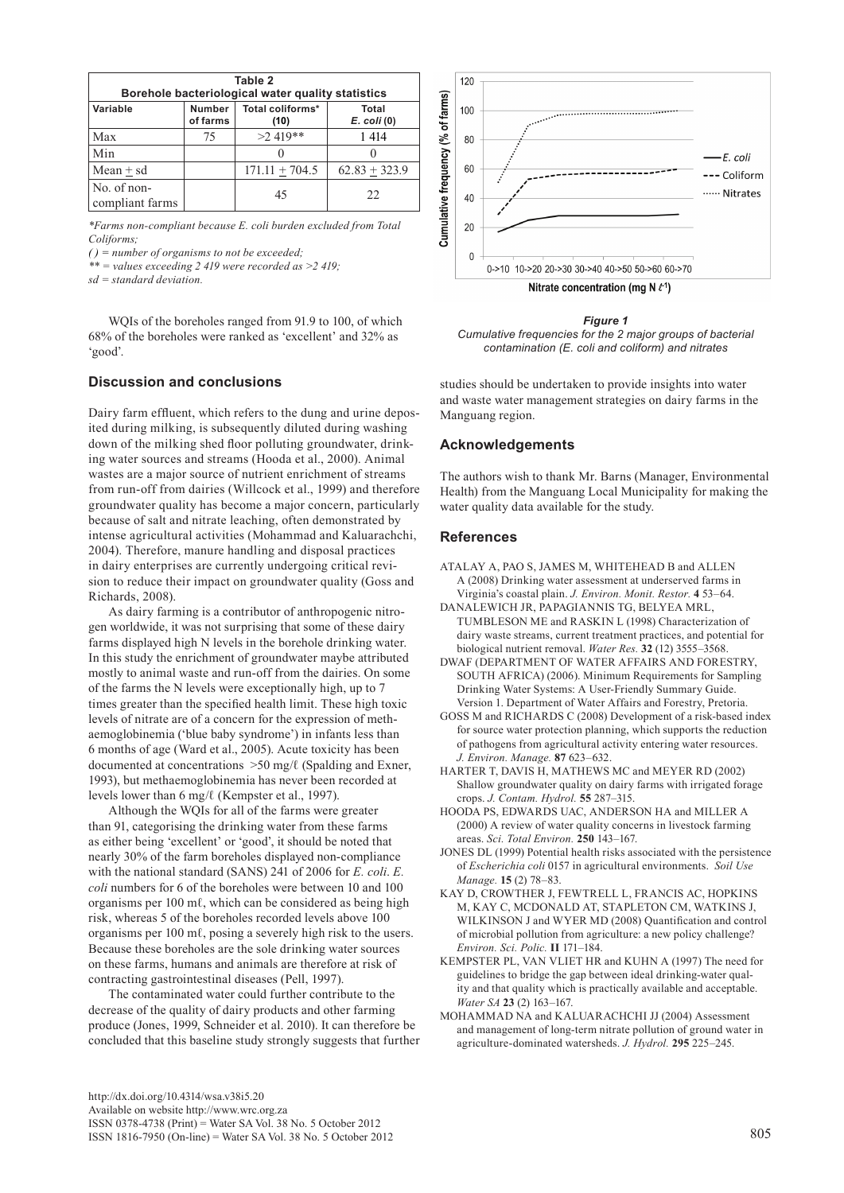| Table 2<br>Borehole bacteriological water quality statistics |                           |                          |                                 |  |  |
|--------------------------------------------------------------|---------------------------|--------------------------|---------------------------------|--|--|
| Variable                                                     | <b>Number</b><br>of farms | Total coliforms*<br>(10) | <b>Total</b><br>$E.$ coli $(0)$ |  |  |
| Max                                                          | 75                        | $>2.419**$               | 1 4 1 4                         |  |  |
| Min                                                          |                           |                          |                                 |  |  |
| $Mean + sd$                                                  |                           | $171.11 + 704.5$         | $62.83 + 323.9$                 |  |  |
| No. of non-<br>compliant farms                               |                           | 45                       | 22                              |  |  |

*\*Farms non-compliant because E. coli burden excluded from Total Coliforms;*

*( ) = number of organisms to not be exceeded;* 

*\*\* = values exceeding 2 419 were recorded as >2 419;* 

*sd = standard deviation.*

WQIs of the boreholes ranged from 91.9 to 100, of which 68% of the boreholes were ranked as 'excellent' and 32% as 'good'.

## **Discussion and conclusions**

Dairy farm effluent, which refers to the dung and urine deposited during milking, is subsequently diluted during washing down of the milking shed floor polluting groundwater, drinking water sources and streams (Hooda et al., 2000). Animal wastes are a major source of nutrient enrichment of streams from run-off from dairies (Willcock et al., 1999) and therefore groundwater quality has become a major concern, particularly because of salt and nitrate leaching, often demonstrated by intense agricultural activities (Mohammad and Kaluarachchi, 2004). Therefore, manure handling and disposal practices in dairy enterprises are currently undergoing critical revision to reduce their impact on groundwater quality (Goss and Richards, 2008).

As dairy farming is a contributor of anthropogenic nitrogen worldwide, it was not surprising that some of these dairy farms displayed high N levels in the borehole drinking water. In this study the enrichment of groundwater maybe attributed mostly to animal waste and run-off from the dairies. On some of the farms the N levels were exceptionally high, up to 7 times greater than the specified health limit. These high toxic levels of nitrate are of a concern for the expression of methaemoglobinemia ('blue baby syndrome') in infants less than 6 months of age (Ward et al., 2005). Acute toxicity has been documented at concentrations >50 mg/ℓ (Spalding and Exner, 1993), but methaemoglobinemia has never been recorded at levels lower than 6 mg/ℓ (Kempster et al., 1997).

Although the WQIs for all of the farms were greater than 91, categorising the drinking water from these farms as either being 'excellent' or 'good', it should be noted that nearly 30% of the farm boreholes displayed non-compliance with the national standard (SANS) 241 of 2006 for *E. coli*. *E. coli* numbers for 6 of the boreholes were between 10 and 100 organisms per 100 mℓ, which can be considered as being high risk, whereas 5 of the boreholes recorded levels above 100 organisms per 100 mℓ, posing a severely high risk to the users. Because these boreholes are the sole drinking water sources on these farms, humans and animals are therefore at risk of contracting gastrointestinal diseases (Pell, 1997).

The contaminated water could further contribute to the decrease of the quality of dairy products and other farming produce (Jones, 1999, Schneider et al. 2010). It can therefore be concluded that this baseline study strongly suggests that further



*Figure 1 Cumulative frequencies for the 2 major groups of bacterial contamination (E. coli and coliform) and nitrates*

studies should be undertaken to provide insights into water and waste water management strategies on dairy farms in the Manguang region.

#### **Acknowledgements**

The authors wish to thank Mr. Barns (Manager, Environmental Health) from the Manguang Local Municipality for making the water quality data available for the study.

#### **References**

- ATALAY A, PAO S, JAMES M, WHITEHEAD B and ALLEN A (2008) Drinking water assessment at underserved farms in Virginia's coastal plain. *J. Environ. Monit. Restor.* **4** 53–64.
- DANALEWICH JR, PAPAGIANNIS TG, BELYEA MRL, TUMBLESON ME and RASKIN L (1998) Characterization of dairy waste streams, current treatment practices, and potential for biological nutrient removal. *Water Res.* **32** (12) 3555–3568.
- DWAF (DEPARTMENT OF WATER AFFAIRS AND FORESTRY, SOUTH AFRICA) (2006). Minimum Requirements for Sampling Drinking Water Systems: A User-Friendly Summary Guide. Version 1. Department of Water Affairs and Forestry, Pretoria.
- GOSS M and RICHARDS C (2008) Development of a risk-based index for source water protection planning, which supports the reduction of pathogens from agricultural activity entering water resources. *J. Environ. Manage.* **87** 623–632.
- HARTER T, DAVIS H, MATHEWS MC and MEYER RD (2002) Shallow groundwater quality on dairy farms with irrigated forage crops. *J. Contam. Hydrol.* **55** 287–315.
- HOODA PS, EDWARDS UAC, ANDERSON HA and MILLER A (2000) A review of water quality concerns in livestock farming areas. *Sci. Total Environ.* **250** 143–167.
- JONES DL (1999) Potential health risks associated with the persistence of *Escherichia coli* 0157 in agricultural environments. *Soil Use Manage.* **15** (2) 78–83.
- KAY D, CROWTHER J, FEWTRELL L, FRANCIS AC, HOPKINS M, KAY C, MCDONALD AT, STAPLETON CM, WATKINS J, WILKINSON J and WYER MD (2008) Quantification and control of microbial pollution from agriculture: a new policy challenge? *Environ. Sci. Polic.* **II** 171–184.
- KEMPSTER PL, VAN VLIET HR and KUHN A (1997) The need for guidelines to bridge the gap between ideal drinking-water quality and that quality which is practically available and acceptable. *Water SA* **23** (2) 163–167.
- MOHAMMAD NA and KALUARACHCHI JJ (2004) Assessment and management of long-term nitrate pollution of ground water in agriculture-dominated watersheds. *J. Hydrol.* **295** 225–245.